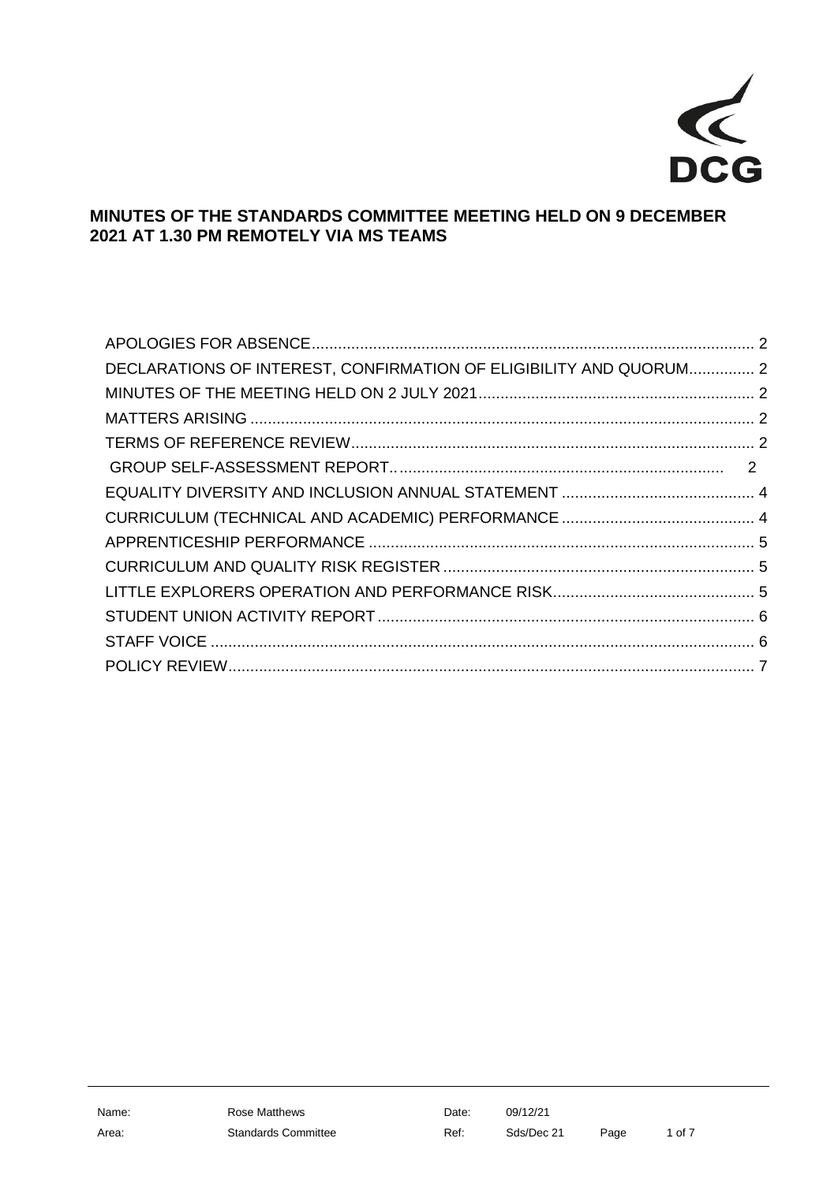

## **MINUTES OF THE STANDARDS COMMITTEE MEETING HELD ON 9 DECEMBER 2021 AT 1.30 PM REMOTELY VIA MS TEAMS**

| DECLARATIONS OF INTEREST, CONFIRMATION OF ELIGIBILITY AND QUORUM 2 |  |
|--------------------------------------------------------------------|--|
|                                                                    |  |
|                                                                    |  |
|                                                                    |  |
|                                                                    |  |
|                                                                    |  |
|                                                                    |  |
|                                                                    |  |
|                                                                    |  |
|                                                                    |  |
|                                                                    |  |
|                                                                    |  |
|                                                                    |  |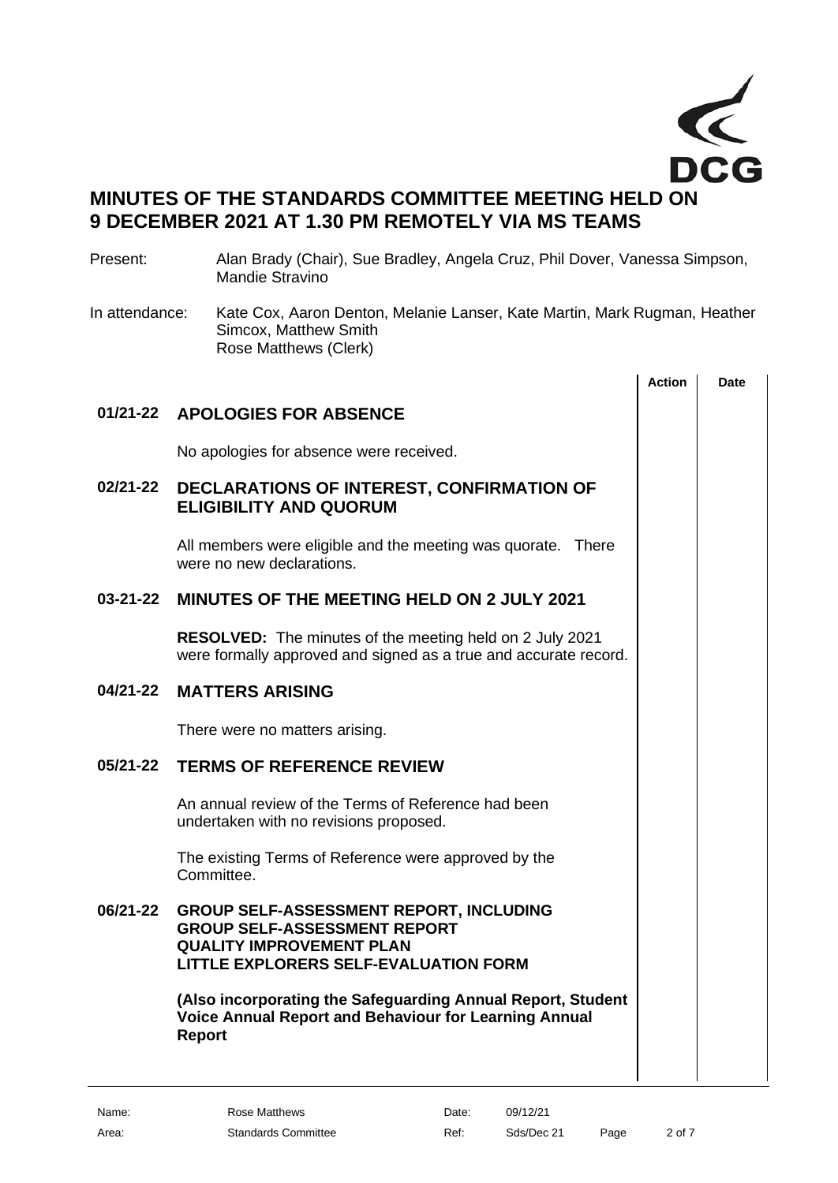

# **MINUTES OF THE STANDARDS COMMITTEE MEETING HELD ON 9 DECEMBER 2021 AT 1.30 PM REMOTELY VIA MS TEAMS**

#### Present: Alan Brady (Chair), Sue Bradley, Angela Cruz, Phil Dover, Vanessa Simpson, Mandie Stravino

In attendance: Kate Cox, Aaron Denton, Melanie Lanser, Kate Martin, Mark Rugman, Heather Simcox, Matthew Smith Rose Matthews (Clerk)

<span id="page-1-5"></span><span id="page-1-4"></span><span id="page-1-3"></span><span id="page-1-2"></span><span id="page-1-1"></span><span id="page-1-0"></span>

|                |                                                                                                                                                                          | <b>Action</b> | <b>Date</b> |
|----------------|--------------------------------------------------------------------------------------------------------------------------------------------------------------------------|---------------|-------------|
|                | 01/21-22 APOLOGIES FOR ABSENCE                                                                                                                                           |               |             |
|                | No apologies for absence were received.                                                                                                                                  |               |             |
| 02/21-22       | DECLARATIONS OF INTEREST, CONFIRMATION OF<br><b>ELIGIBILITY AND QUORUM</b>                                                                                               |               |             |
|                | All members were eligible and the meeting was quorate. There<br>were no new declarations.                                                                                |               |             |
| $03 - 21 - 22$ | <b>MINUTES OF THE MEETING HELD ON 2 JULY 2021</b>                                                                                                                        |               |             |
|                | <b>RESOLVED:</b> The minutes of the meeting held on 2 July 2021<br>were formally approved and signed as a true and accurate record.                                      |               |             |
| 04/21-22       | <b>MATTERS ARISING</b>                                                                                                                                                   |               |             |
|                | There were no matters arising.                                                                                                                                           |               |             |
| 05/21-22       | <b>TERMS OF REFERENCE REVIEW</b>                                                                                                                                         |               |             |
|                | An annual review of the Terms of Reference had been<br>undertaken with no revisions proposed.                                                                            |               |             |
|                | The existing Terms of Reference were approved by the<br>Committee.                                                                                                       |               |             |
| 06/21-22       | <b>GROUP SELF-ASSESSMENT REPORT, INCLUDING</b><br><b>GROUP SELF-ASSESSMENT REPORT</b><br><b>QUALITY IMPROVEMENT PLAN</b><br><b>LITTLE EXPLORERS SELF-EVALUATION FORM</b> |               |             |
|                | (Also incorporating the Safeguarding Annual Report, Student<br><b>Voice Annual Report and Behaviour for Learning Annual</b><br><b>Report</b>                             |               |             |
|                |                                                                                                                                                                          |               |             |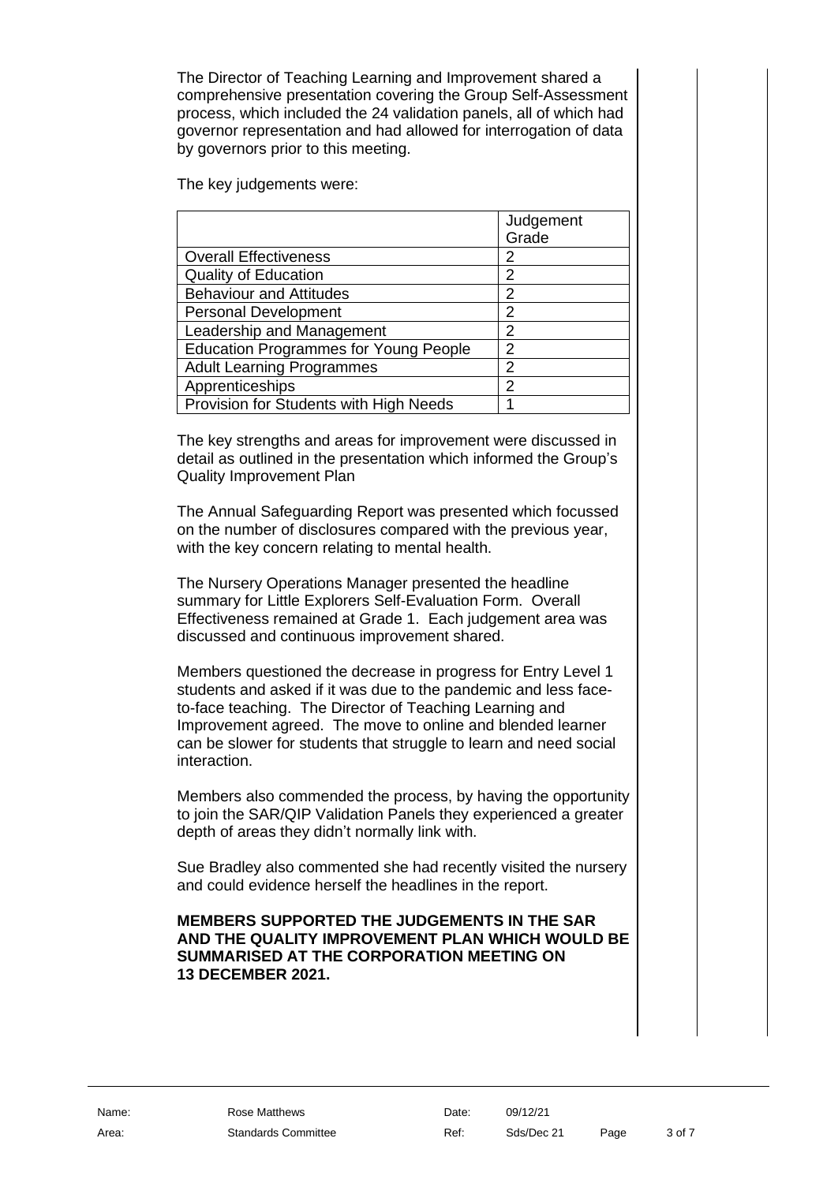The Director of Teaching Learning and Improvement shared a comprehensive presentation covering the Group Self-Assessment process, which included the 24 validation panels, all of which had governor representation and had allowed for interrogation of data by governors prior to this meeting.

The key judgements were:

|                                              | Judgement<br>Grade |
|----------------------------------------------|--------------------|
| <b>Overall Effectiveness</b>                 | 2                  |
| <b>Quality of Education</b>                  | 2                  |
| <b>Behaviour and Attitudes</b>               | 2                  |
| <b>Personal Development</b>                  | 2                  |
| Leadership and Management                    | 2                  |
| <b>Education Programmes for Young People</b> | 2                  |
| <b>Adult Learning Programmes</b>             | 2                  |
| Apprenticeships                              | 2                  |
| Provision for Students with High Needs       |                    |

The key strengths and areas for improvement were discussed in detail as outlined in the presentation which informed the Group's Quality Improvement Plan

The Annual Safeguarding Report was presented which focussed on the number of disclosures compared with the previous year, with the key concern relating to mental health.

The Nursery Operations Manager presented the headline summary for Little Explorers Self-Evaluation Form. Overall Effectiveness remained at Grade 1. Each judgement area was discussed and continuous improvement shared.

Members questioned the decrease in progress for Entry Level 1 students and asked if it was due to the pandemic and less faceto-face teaching. The Director of Teaching Learning and Improvement agreed. The move to online and blended learner can be slower for students that struggle to learn and need social interaction.

Members also commended the process, by having the opportunity to join the SAR/QIP Validation Panels they experienced a greater depth of areas they didn't normally link with.

Sue Bradley also commented she had recently visited the nursery and could evidence herself the headlines in the report.

#### **MEMBERS SUPPORTED THE JUDGEMENTS IN THE SAR AND THE QUALITY IMPROVEMENT PLAN WHICH WOULD BE SUMMARISED AT THE CORPORATION MEETING ON 13 DECEMBER 2021.**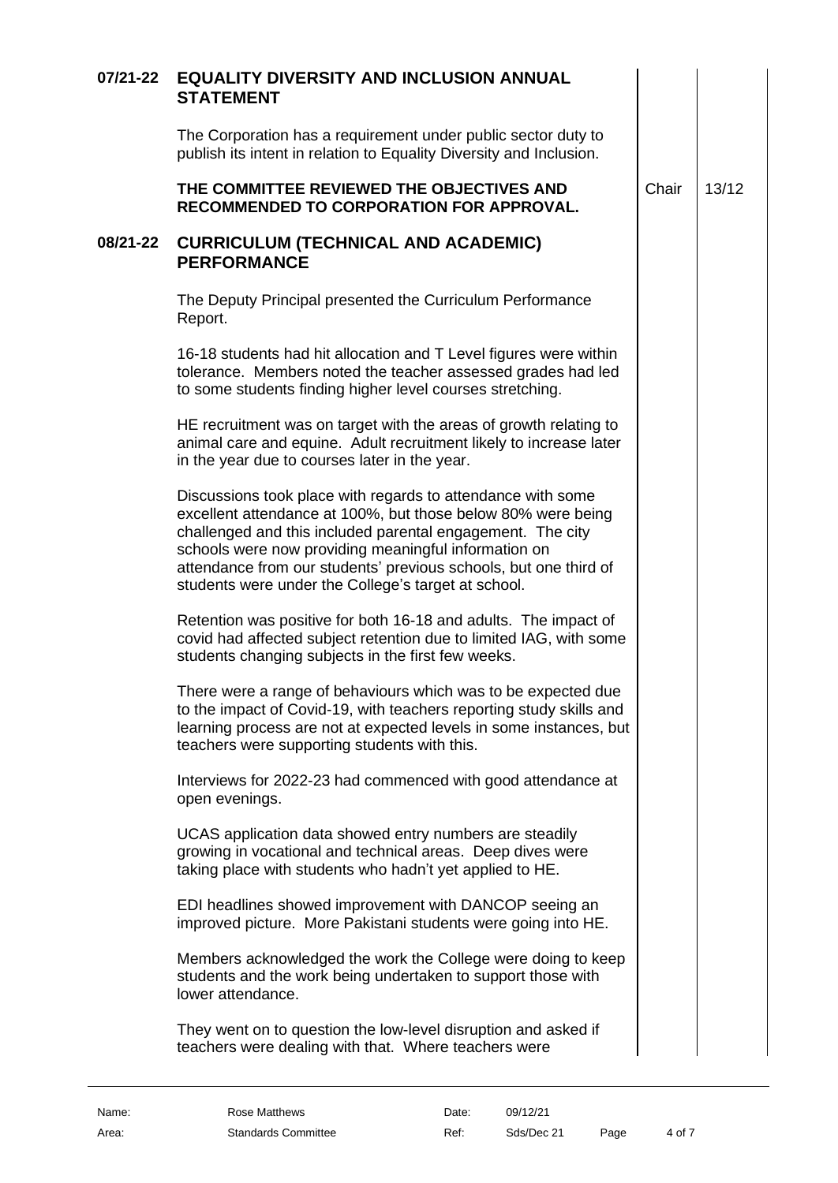<span id="page-3-1"></span><span id="page-3-0"></span>

| 07/21-22 | <b>EQUALITY DIVERSITY AND INCLUSION ANNUAL</b><br><b>STATEMENT</b>                                                                                                                                                                                                                                                                                                           |       |       |  |
|----------|------------------------------------------------------------------------------------------------------------------------------------------------------------------------------------------------------------------------------------------------------------------------------------------------------------------------------------------------------------------------------|-------|-------|--|
|          | The Corporation has a requirement under public sector duty to<br>publish its intent in relation to Equality Diversity and Inclusion.                                                                                                                                                                                                                                         |       |       |  |
|          | THE COMMITTEE REVIEWED THE OBJECTIVES AND<br><b>RECOMMENDED TO CORPORATION FOR APPROVAL.</b>                                                                                                                                                                                                                                                                                 | Chair | 13/12 |  |
| 08/21-22 | <b>CURRICULUM (TECHNICAL AND ACADEMIC)</b><br><b>PERFORMANCE</b>                                                                                                                                                                                                                                                                                                             |       |       |  |
|          | The Deputy Principal presented the Curriculum Performance<br>Report.                                                                                                                                                                                                                                                                                                         |       |       |  |
|          | 16-18 students had hit allocation and T Level figures were within<br>tolerance. Members noted the teacher assessed grades had led<br>to some students finding higher level courses stretching.                                                                                                                                                                               |       |       |  |
|          | HE recruitment was on target with the areas of growth relating to<br>animal care and equine. Adult recruitment likely to increase later<br>in the year due to courses later in the year.                                                                                                                                                                                     |       |       |  |
|          | Discussions took place with regards to attendance with some<br>excellent attendance at 100%, but those below 80% were being<br>challenged and this included parental engagement. The city<br>schools were now providing meaningful information on<br>attendance from our students' previous schools, but one third of<br>students were under the College's target at school. |       |       |  |
|          | Retention was positive for both 16-18 and adults. The impact of<br>covid had affected subject retention due to limited IAG, with some<br>students changing subjects in the first few weeks.                                                                                                                                                                                  |       |       |  |
|          | There were a range of behaviours which was to be expected due<br>to the impact of Covid-19, with teachers reporting study skills and<br>learning process are not at expected levels in some instances, but<br>teachers were supporting students with this.                                                                                                                   |       |       |  |
|          | Interviews for 2022-23 had commenced with good attendance at<br>open evenings.                                                                                                                                                                                                                                                                                               |       |       |  |
|          | UCAS application data showed entry numbers are steadily<br>growing in vocational and technical areas. Deep dives were<br>taking place with students who hadn't yet applied to HE.                                                                                                                                                                                            |       |       |  |
|          | EDI headlines showed improvement with DANCOP seeing an<br>improved picture. More Pakistani students were going into HE.                                                                                                                                                                                                                                                      |       |       |  |
|          | Members acknowledged the work the College were doing to keep<br>students and the work being undertaken to support those with<br>lower attendance.                                                                                                                                                                                                                            |       |       |  |
|          | They went on to question the low-level disruption and asked if<br>teachers were dealing with that. Where teachers were                                                                                                                                                                                                                                                       |       |       |  |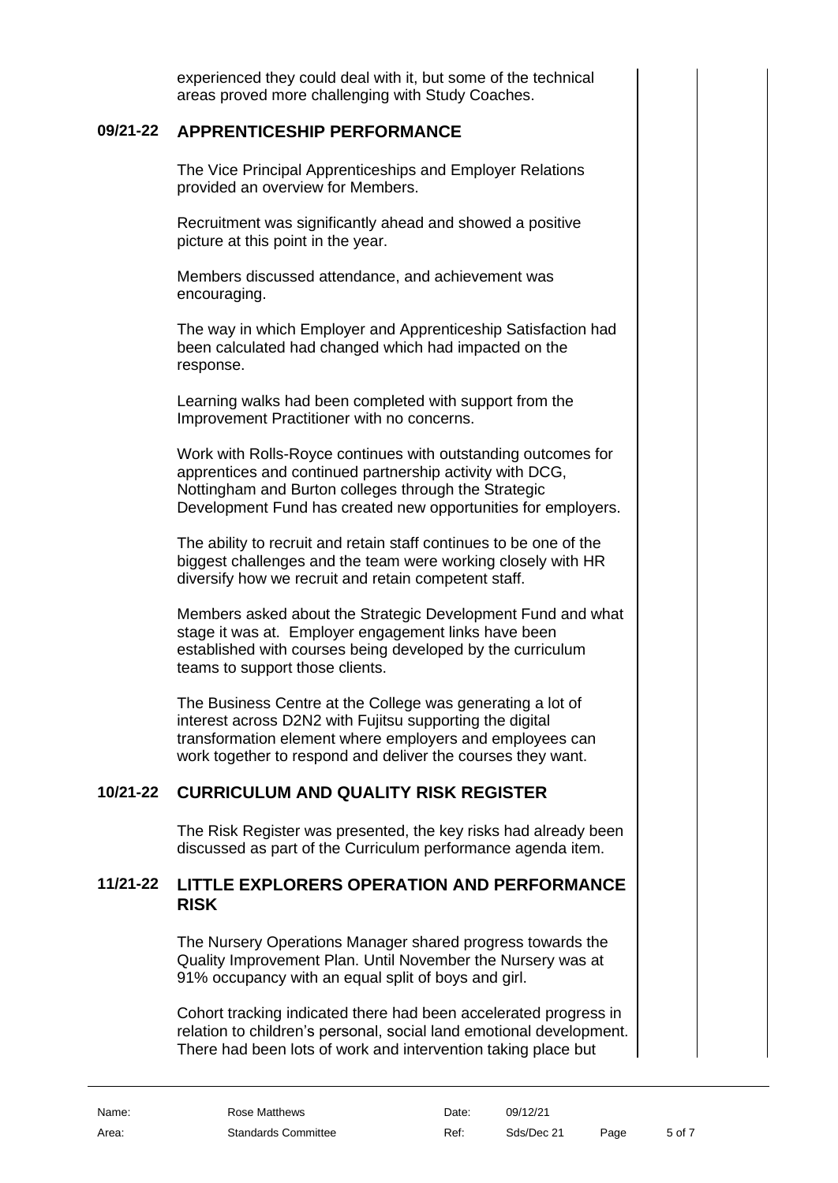experienced they could deal with it, but some of the technical areas proved more challenging with Study Coaches.

### **09/21-22 APPRENTICESHIP PERFORMANCE**

<span id="page-4-0"></span>The Vice Principal Apprenticeships and Employer Relations provided an overview for Members.

Recruitment was significantly ahead and showed a positive picture at this point in the year.

Members discussed attendance, and achievement was encouraging.

The way in which Employer and Apprenticeship Satisfaction had been calculated had changed which had impacted on the response.

Learning walks had been completed with support from the Improvement Practitioner with no concerns.

Work with Rolls-Royce continues with outstanding outcomes for apprentices and continued partnership activity with DCG, Nottingham and Burton colleges through the Strategic Development Fund has created new opportunities for employers.

The ability to recruit and retain staff continues to be one of the biggest challenges and the team were working closely with HR diversify how we recruit and retain competent staff.

Members asked about the Strategic Development Fund and what stage it was at. Employer engagement links have been established with courses being developed by the curriculum teams to support those clients.

The Business Centre at the College was generating a lot of interest across D2N2 with Fujitsu supporting the digital transformation element where employers and employees can work together to respond and deliver the courses they want.

### **10/21-22 CURRICULUM AND QUALITY RISK REGISTER**

<span id="page-4-2"></span><span id="page-4-1"></span>The Risk Register was presented, the key risks had already been discussed as part of the Curriculum performance agenda item.

### **11/21-22 LITTLE EXPLORERS OPERATION AND PERFORMANCE RISK**

The Nursery Operations Manager shared progress towards the Quality Improvement Plan. Until November the Nursery was at 91% occupancy with an equal split of boys and girl.

Cohort tracking indicated there had been accelerated progress in relation to children's personal, social land emotional development. There had been lots of work and intervention taking place but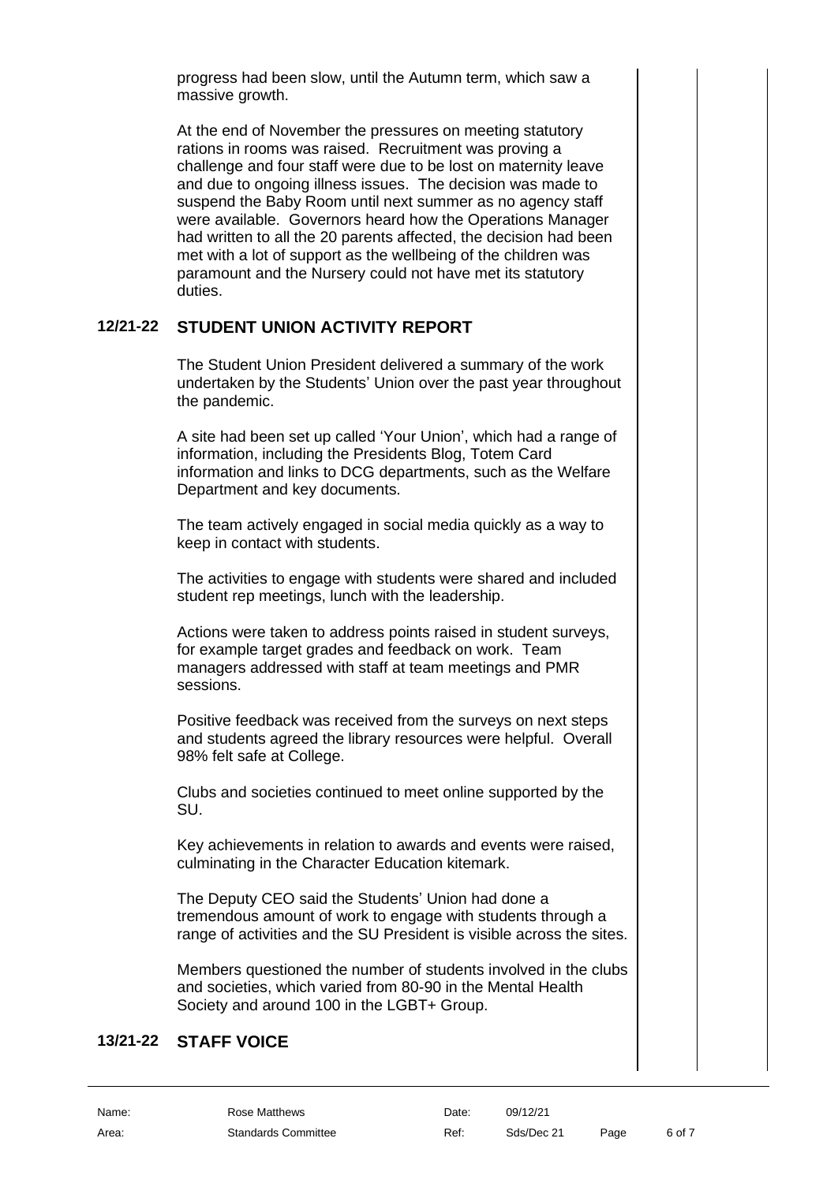progress had been slow, until the Autumn term, which saw a massive growth.

At the end of November the pressures on meeting statutory rations in rooms was raised. Recruitment was proving a challenge and four staff were due to be lost on maternity leave and due to ongoing illness issues. The decision was made to suspend the Baby Room until next summer as no agency staff were available. Governors heard how the Operations Manager had written to all the 20 parents affected, the decision had been met with a lot of support as the wellbeing of the children was paramount and the Nursery could not have met its statutory duties.

### **12/21-22 STUDENT UNION ACTIVITY REPORT**

<span id="page-5-0"></span>The Student Union President delivered a summary of the work undertaken by the Students' Union over the past year throughout the pandemic.

A site had been set up called 'Your Union', which had a range of information, including the Presidents Blog, Totem Card information and links to DCG departments, such as the Welfare Department and key documents.

The team actively engaged in social media quickly as a way to keep in contact with students.

The activities to engage with students were shared and included student rep meetings, lunch with the leadership.

Actions were taken to address points raised in student surveys, for example target grades and feedback on work. Team managers addressed with staff at team meetings and PMR sessions.

Positive feedback was received from the surveys on next steps and students agreed the library resources were helpful. Overall 98% felt safe at College.

Clubs and societies continued to meet online supported by the SU.

Key achievements in relation to awards and events were raised, culminating in the Character Education kitemark.

The Deputy CEO said the Students' Union had done a tremendous amount of work to engage with students through a range of activities and the SU President is visible across the sites.

<span id="page-5-1"></span>Members questioned the number of students involved in the clubs and societies, which varied from 80-90 in the Mental Health Society and around 100 in the LGBT+ Group.

### **13/21-22 STAFF VOICE**